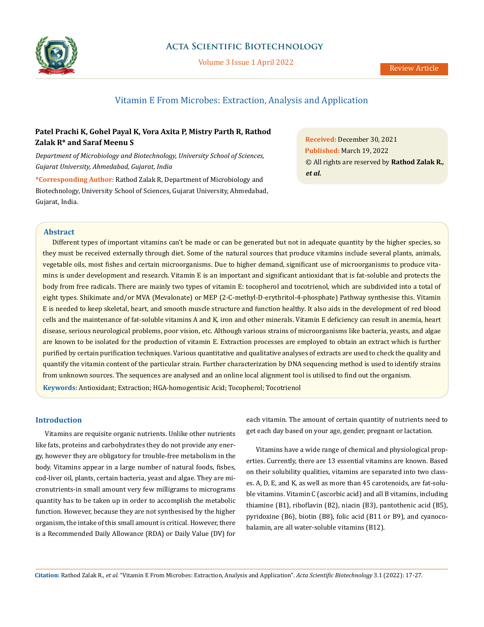

# **Acta Scientific Biotechnology**

Volume 3 Issue 1 April 2022

# Vitamin E From Microbes: Extraction, Analysis and Application

# **Patel Prachi K, Gohel Payal K, Vora Axita P, Mistry Parth R, Rathod Zalak R\* and Saraf Meenu S**

*Department of Microbiology and Biotechnology, University School of Sciences, Gujarat University, Ahmedabad, Gujarat, India*

**\*Corresponding Author:** Rathod Zalak R, Department of Microbiology and Biotechnology, University School of Sciences, Gujarat University, Ahmedabad, Gujarat, India.

**Received:** December 30, 2021 **Published:** March 19, 2022 © All rights are reserved by **Rathod Zalak R***., et al.*

## **Abstract**

Different types of important vitamins can't be made or can be generated but not in adequate quantity by the higher species, so they must be received externally through diet. Some of the natural sources that produce vitamins include several plants, animals, vegetable oils, most fishes and certain microorganisms. Due to higher demand, significant use of microorganisms to produce vitamins is under development and research. Vitamin E is an important and significant antioxidant that is fat-soluble and protects the body from free radicals. There are mainly two types of vitamin E: tocopherol and tocotrienol, which are subdivided into a total of eight types. Shikimate and/or MVA (Mevalonate) or MEP (2-C-methyl-D-erythritol-4-phosphate) Pathway synthesise this. Vitamin E is needed to keep skeletal, heart, and smooth muscle structure and function healthy. It also aids in the development of red blood cells and the maintenance of fat-soluble vitamins A and K, iron and other minerals. Vitamin E deficiency can result in anemia, heart disease, serious neurological problems, poor vision, etc. Although various strains of microorganisms like bacteria, yeasts, and algae are known to be isolated for the production of vitamin E. Extraction processes are employed to obtain an extract which is further purified by certain purification techniques. Various quantitative and qualitative analyses of extracts are used to check the quality and quantify the vitamin content of the particular strain. Further characterization by DNA sequencing method is used to identify strains from unknown sources. The sequences are analysed and an online local alignment tool is utilised to find out the organism. **Keywords:** Antioxidant; Extraction; HGA-homogentisic Acid; Tocopherol; Tocotrienol

# **Introduction**

Vitamins are requisite organic nutrients. Unlike other nutrients like fats, proteins and carbohydrates they do not provide any energy, however they are obligatory for trouble-free metabolism in the body. Vitamins appear in a large number of natural foods, fishes, cod-liver oil, plants, certain bacteria, yeast and algae. They are micronutrients-in small amount very few milligrams to micrograms quantity has to be taken up in order to accomplish the metabolic function. However, because they are not synthesised by the higher organism, the intake of this small amount is critical. However, there is a Recommended Daily Allowance (RDA) or Daily Value (DV) for each vitamin. The amount of certain quantity of nutrients need to get each day based on your age, gender, pregnant or lactation.

Vitamins have a wide range of chemical and physiological properties. Currently, there are 13 essential vitamins are known. Based on their solubility qualities, vitamins are separated into two classes. A, D, E, and K, as well as more than 45 carotenoids, are fat-soluble vitamins. Vitamin C (ascorbic acid) and all B vitamins, including thiamine (B1), riboflavin (B2), niacin (B3), pantothenic acid (B5), pyridoxine (B6), biotin (B8), folic acid (B11 or B9), and cyanocobalamin, are all water-soluble vitamins (B12).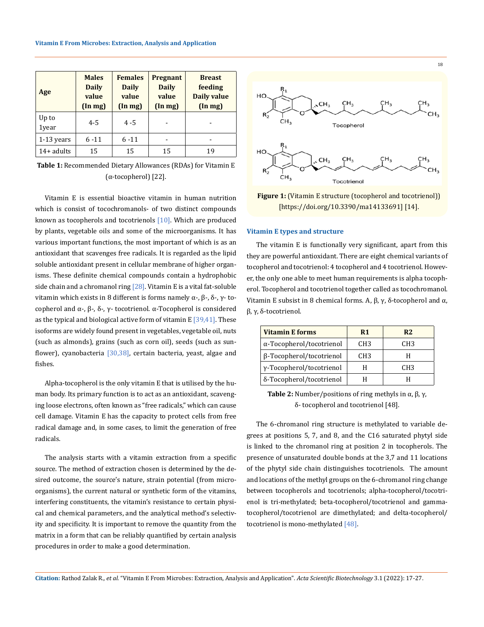| Age            | <b>Males</b><br><b>Daily</b><br>value<br>$(\ln mg)$ | <b>Females</b><br><b>Daily</b><br>value<br>$(\ln mg)$ | Pregnant<br><b>Daily</b><br>value<br>$(\ln mg)$ | <b>Breast</b><br>feeding<br><b>Daily value</b><br>$(\ln mg)$ |
|----------------|-----------------------------------------------------|-------------------------------------------------------|-------------------------------------------------|--------------------------------------------------------------|
| Up to<br>1year | $4 - 5$                                             | $4 - 5$                                               |                                                 |                                                              |
| $1-13$ years   | $6 - 11$                                            | $6 - 11$                                              |                                                 |                                                              |
| $14+$ adults   | 15                                                  | 15                                                    | 15                                              | 19                                                           |

**Table 1:** Recommended Dietary Allowances (RDAs) for Vitamin E (α-tocopherol) [22].

Vitamin E is essential bioactive vitamin in human nutrition which is consist of tocochromanols- of two distinct compounds known as tocopherols and tocotrienols [10]. Which are produced by plants, vegetable oils and some of the microorganisms. It has various important functions, the most important of which is as an antioxidant that scavenges free radicals. It is regarded as the lipid soluble antioxidant present in cellular membrane of higher organisms. These definite chemical compounds contain a hydrophobic side chain and a chromanol ring  $[28]$ . Vitamin E is a vital fat-soluble vitamin which exists in 8 different is forms namely  $\alpha$ -,  $\beta$ -,  $\delta$ -,  $\gamma$ - tocopherol and α-, β-, δ-, γ- tocotrienol. α-Tocopherol is considered as the typical and biological active form of vitamin  $E[39,41]$ . These isoforms are widely found present in vegetables, vegetable oil, nuts (such as almonds), grains (such as corn oil), seeds (such as sunflower), cyanobacteria [30,38], certain bacteria, yeast, algae and fishes.

Alpha-tocopherol is the only vitamin E that is utilised by the human body. Its primary function is to act as an antioxidant, scavenging loose electrons, often known as "free radicals," which can cause cell damage. Vitamin E has the capacity to protect cells from free radical damage and, in some cases, to limit the generation of free radicals.

The analysis starts with a vitamin extraction from a specific source. The method of extraction chosen is determined by the desired outcome, the source's nature, strain potential (from microorganisms), the current natural or synthetic form of the vitamins, interfering constituents, the vitamin's resistance to certain physical and chemical parameters, and the analytical method's selectivity and specificity. It is important to remove the quantity from the matrix in a form that can be reliably quantified by certain analysis procedures in order to make a good determination.



**Figure 1:** (Vitamin E structure (tocopherol and tocotrienol)) [https://doi.org/10.3390/ma14133691] [14].

### **Vitamin E types and structure**

The vitamin E is functionally very significant, apart from this they are powerful antioxidant. There are eight chemical variants of tocopherol and tocotrienol: 4 tocopherol and 4 tocotrienol. However, the only one able to meet human requirements is alpha tocopherol. Tocopherol and tocotrienol together called as tocochromanol. Vitamin E subsist in 8 chemical forms. A,  $\beta$ ,  $\gamma$ , δ-tocopherol and α, β, γ, δ-tocotrienol.

| <b>Vitamin E forms</b>   | R1              | R <sub>2</sub>  |
|--------------------------|-----------------|-----------------|
| α-Tocopherol/tocotrienol | CH <sub>3</sub> | CH <sub>3</sub> |
| β-Tocopherol/tocotrienol | CH <sub>3</sub> |                 |
| γ-Tocopherol/tocotrienol |                 | CH <sub>3</sub> |
| δ-Tocopherol/tocotrienol |                 |                 |

**Table 2:** Number/positions of ring methyls in  $\alpha$ ,  $\beta$ ,  $\gamma$ , δ- tocopherol and tocotrienol [48].

The 6-chromanol ring structure is methylated to variable degrees at positions 5, 7, and 8, and the C16 saturated phytyl side is linked to the chromanol ring at position 2 in tocopherols. The presence of unsaturated double bonds at the 3,7 and 11 locations of the phytyl side chain distinguishes tocotrienols. The amount and locations of the methyl groups on the 6-chromanol ring change between tocopherols and tocotrienols; alpha-tocopherol/tocotrienol is tri-methylated; beta-tocopherol/tocotrienol and gammatocopherol/tocotrienol are dimethylated; and delta-tocopherol/ tocotrienol is mono-methylated [48].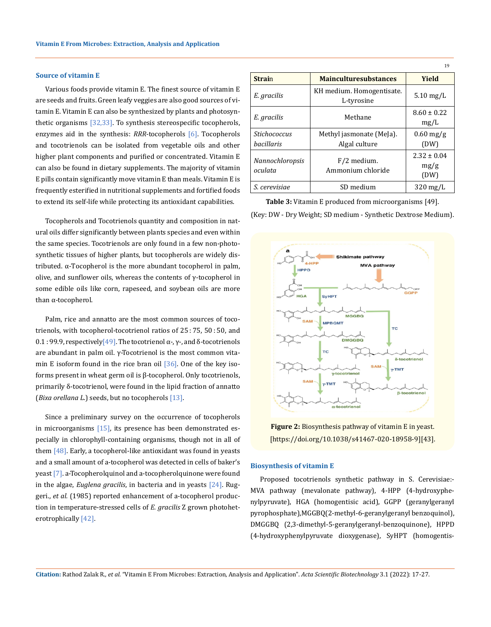### **Source of vitamin E**

Various foods provide vitamin E. The finest source of vitamin E are seeds and fruits. Green leafy veggies are also good sources of vitamin E. Vitamin E can also be synthesized by plants and photosynthetic organisms [32,33]. To synthesis stereospecific tocopherols, enzymes aid in the synthesis: *RRR*-tocopherols [6]. Tocopherols and tocotrienols can be isolated from vegetable oils and other higher plant components and purified or concentrated. Vitamin E can also be found in dietary supplements. The majority of vitamin E pills contain significantly move vitamin E than meals. Vitamin E is frequently esterified in nutritional supplements and fortified foods to extend its self-life while protecting its antioxidant capabilities.

Tocopherols and Tocotrienols quantity and composition in natural oils differ significantly between plants species and even within the same species. Tocotrienols are only found in a few non-photosynthetic tissues of higher plants, but tocopherols are widely distributed. α-Tocopherol is the more abundant tocopherol in palm, olive, and sunflower oils, whereas the contents of  $γ$ -tocopherol in some edible oils like corn, rapeseed, and soybean oils are more than α-tocopherol.

Palm, rice and annatto are the most common sources of tocotrienols, with tocopherol-tocotrienol ratios of 25:75, 50:50, and 0.1 : 99.9, respectively[49]. The tocotrienol  $\alpha$ -,  $\gamma$ -, and δ-tocotrienols are abundant in palm oil. γ-Tocotrienol is the most common vitamin E isoform found in the rice bran oil  $[36]$ . One of the key isoforms present in wheat germ oil is β-tocopherol. Only tocotrienols, primarily δ-tocotrienol, were found in the lipid fraction of annatto (*Bixa orellana L*.) seeds, but no tocopherols [13].

Since a preliminary survey on the occurrence of tocopherols in microorganisms  $[15]$ , its presence has been demonstrated especially in chlorophyll-containing organisms, though not in all of them  $[48]$ . Early, a tocopherol-like antioxidant was found in yeasts and a small amount of a-tocopherol was detected in cells of baker's yeast [7]. a-Tocopherolquinol and a-tocopherolquinone were found in the algae, *Euglena gracilis*, in bacteria and in yeasts [24]. Ruggeri., *et al.* (1985) reported enhancement of a-tocopherol production in temperature-stressed cells of *E. gracilis* Z grown photoheterotrophically [42].

|                                                 |                                           | 19                              |
|-------------------------------------------------|-------------------------------------------|---------------------------------|
| <b>Strain</b>                                   | <b>Mainculturesubstances</b>              | Yield                           |
| E. gracilis                                     | KH medium. Homogentisate.<br>L-tyrosine   | $5.10$ mg/L                     |
| E. gracilis                                     | Methane                                   | $8.60 \pm 0.22$<br>mg/L         |
| <i><u>Stichococcus</u></i><br><i>bacillaris</i> | Methyl jasmonate (MeJa).<br>Algal culture | $0.60$ mg/g<br>(DW)             |
| Nannochloropsis<br>oculata                      | F/2 medium.<br>Ammonium chloride          | $2.32 \pm 0.04$<br>mg/g<br>(DW) |
| S. cerevisiae                                   | SD medium                                 | $320 \,\mathrm{mg/L}$           |

**Table 3:** Vitamin E produced from microorganisms [49]. (Key: DW - Dry Weight; SD medium - Synthetic Dextrose Medium).





# **Biosynthesis of vitamin E**

Proposed tocotrienols synthetic pathway in S. Cerevisiae:- MVA pathway (mevalonate pathway), 4-HPP (4-hydroxyphenylpyruvate), HGA (homogentisic acid), GGPP (geranylgeranyl pyrophosphate),MGGBQ(2-methyl-6-geranylgeranyl benzoquinol), DMGGBQ (2,3-dimethyl-5-geranylgeranyl-benzoquinone), HPPD (4-hydroxyphenylpyruvate dioxygenase), SyHPT (homogentis-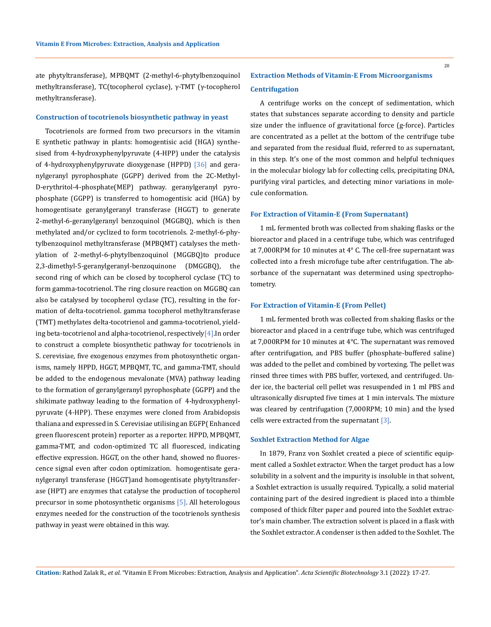### **Construction of tocotrienols biosynthetic pathway in yeast**

Tocotrienols are formed from two precursors in the vitamin E synthetic pathway in plants: homogentisic acid (HGA) synthesised from 4-hydroxyphenylpyruvate (4-HPP) under the catalysis of 4-hydroxyphenylpyruvate dioxygenase (HPPD) [36] and geranylgeranyl pyrophosphate (GGPP) derived from the 2C-Methyl-D-erythritol-4-phosphate(MEP) pathway. geranylgeranyl pyrophosphate (GGPP) is transferred to homogentisic acid (HGA) by homogentisate geranylgeranyl transferase (HGGT) to generate 2-methyl-6-geranylgeranyl benzoquinol (MGGBQ), which is then methylated and/or cyclized to form tocotrienols. 2-methyl-6-phytylbenzoquinol methyltransferase (MPBQMT) catalyses the methylation of 2-methyl-6-phytylbenzoquinol (MGGBQ)to produce 2,3-dimethyl-5-geranylgeranyl-benzoquinone (DMGGBQ), the second ring of which can be closed by tocopherol cyclase (TC) to form gamma-tocotrienol. The ring closure reaction on MGGBQ can also be catalysed by tocopherol cyclase (TC), resulting in the formation of delta-tocotrienol. gamma tocopherol methyltransferase (TMT) methylates delta-tocotrienol and gamma-tocotrienol, yielding beta-tocotrienol and alpha-tocotrienol, respectively<sup>[4]</sup>. In order to construct a complete biosynthetic pathway for tocotrienols in S. cerevisiae, five exogenous enzymes from photosynthetic organisms, namely HPPD, HGGT, MPBQMT, TC, and gamma-TMT, should be added to the endogenous mevalonate (MVA) pathway leading to the formation of geranylgeranyl pyrophosphate (GGPP) and the shikimate pathway leading to the formation of 4-hydroxyphenylpyruvate (4-HPP). These enzymes were cloned from Arabidopsis thaliana and expressed in S. Cerevisiae utilising an EGFP( Enhanced green fluorescent protein) reporter as a reporter. HPPD, MPBQMT, gamma-TMT, and codon-optimized TC all fluoresced, indicating effective expression. HGGT, on the other hand, showed no fluorescence signal even after codon optimization. homogentisate geranylgeranyl transferase (HGGT)and homogentisate phytyltransferase (HPT) are enzymes that catalyse the production of tocopherol precursor in some photosynthetic organisms [5]. All heterologous enzymes needed for the construction of the tocotrienols synthesis pathway in yeast were obtained in this way.

# **Extraction Methods of Vitamin-E From Microorganisms Centrifugation**

A centrifuge works on the concept of sedimentation, which states that substances separate according to density and particle size under the influence of gravitational force (g-force). Particles are concentrated as a pellet at the bottom of the centrifuge tube and separated from the residual fluid, referred to as supernatant, in this step. It's one of the most common and helpful techniques in the molecular biology lab for collecting cells, precipitating DNA, purifying viral particles, and detecting minor variations in molecule conformation.

# **For Extraction of Vitamin-E (From Supernatant)**

1 mL fermented broth was collected from shaking flasks or the bioreactor and placed in a centrifuge tube, which was centrifuged at 7,000RPM for 10 minutes at 4° C. The cell-free supernatant was collected into a fresh microfuge tube after centrifugation. The absorbance of the supernatant was determined using spectrophotometry.

# **For Extraction of Vitamin-E (From Pellet)**

1 mL fermented broth was collected from shaking flasks or the bioreactor and placed in a centrifuge tube, which was centrifuged at 7,000RPM for 10 minutes at 4°C. The supernatant was removed after centrifugation, and PBS buffer (phosphate-buffered saline) was added to the pellet and combined by vortexing. The pellet was rinsed three times with PBS buffer, vortexed, and centrifuged. Under ice, the bacterial cell pellet was resuspended in 1 ml PBS and ultrasonically disrupted five times at 1 min intervals. The mixture was cleared by centrifugation (7,000RPM; 10 min) and the lysed cells were extracted from the supernatant [3].

#### **Soxhlet Extraction Method for Algae**

In 1879, Franz von Soxhlet created a piece of scientific equipment called a Soxhlet extractor. When the target product has a low solubility in a solvent and the impurity is insoluble in that solvent, a Soxhlet extraction is usually required. Typically, a solid material containing part of the desired ingredient is placed into a thimble composed of thick filter paper and poured into the Soxhlet extractor's main chamber. The extraction solvent is placed in a flask with the Soxhlet extractor. A condenser is then added to the Soxhlet. The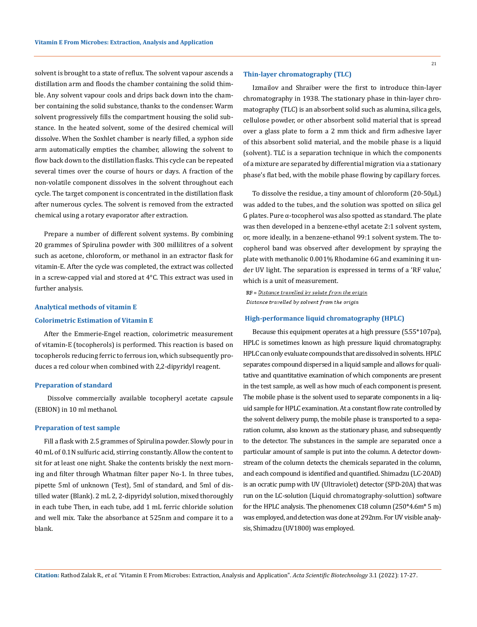solvent is brought to a state of reflux. The solvent vapour ascends a distillation arm and floods the chamber containing the solid thimble. Any solvent vapour cools and drips back down into the chamber containing the solid substance, thanks to the condenser. Warm solvent progressively fills the compartment housing the solid substance. In the heated solvent, some of the desired chemical will dissolve. When the Soxhlet chamber is nearly filled, a syphon side arm automatically empties the chamber, allowing the solvent to flow back down to the distillation flasks. This cycle can be repeated several times over the course of hours or days. A fraction of the non-volatile component dissolves in the solvent throughout each cycle. The target component is concentrated in the distillation flask after numerous cycles. The solvent is removed from the extracted chemical using a rotary evaporator after extraction.

Prepare a number of different solvent systems. By combining 20 grammes of Spirulina powder with 300 millilitres of a solvent such as acetone, chloroform, or methanol in an extractor flask for vitamin-E. After the cycle was completed, the extract was collected in a screw-capped vial and stored at 4°C. This extract was used in further analysis.

## **Analytical methods of vitamin E**

#### **Colorimetric Estimation of Vitamin E**

After the Emmerie-Engel reaction, colorimetric measurement of vitamin-E (tocopherols) is performed. This reaction is based on tocopherols reducing ferric to ferrous ion, which subsequently produces a red colour when combined with 2,2-dipyridyl reagent.

#### **Preparation of standard**

Dissolve commercially available tocopheryl acetate capsule (EBION) in 10 ml methanol.

#### **Preparation of test sample**

Fill a flask with 2.5 grammes of Spirulina powder. Slowly pour in 40 mL of 0.1N sulfuric acid, stirring constantly. Allow the content to sit for at least one night. Shake the contents briskly the next morning and filter through Whatman filter paper No-1. In three tubes, pipette 5ml of unknown (Test), 5ml of standard, and 5ml of distilled water (Blank). 2 mL 2, 2-dipyridyl solution, mixed thoroughly in each tube Then, in each tube, add 1 mL ferric chloride solution and well mix. Take the absorbance at 525nm and compare it to a blank.

#### **Thin-layer chromatography (TLC)**

Izmailov and Shraiber were the first to introduce thin-layer chromatography in 1938. The stationary phase in thin-layer chromatography (TLC) is an absorbent solid such as alumina, silica gels, cellulose powder, or other absorbent solid material that is spread over a glass plate to form a 2 mm thick and firm adhesive layer of this absorbent solid material, and the mobile phase is a liquid (solvent). TLC is a separation technique in which the components of a mixture are separated by differential migration via a stationary phase's flat bed, with the mobile phase flowing by capillary forces.

To dissolve the residue, a tiny amount of chloroform (20-50µL) was added to the tubes, and the solution was spotted on silica gel G plates. Pure α-tocopherol was also spotted as standard. The plate was then developed in a benzene-ethyl acetate 2:1 solvent system, or, more ideally, in a benzene-ethanol 99:1 solvent system. The tocopherol band was observed after development by spraying the plate with methanolic 0.001% Rhodamine 6G and examining it under UV light. The separation is expressed in terms of a 'RF value,' which is a unit of measurement.

 $RF = Distance$  travelled by solute from the origin Distance travelled by solvent from the origin

# **High-performance liquid chromatography (HPLC)**

Because this equipment operates at a high pressure (5.55\*107pa), HPLC is sometimes known as high pressure liquid chromatography. HPLC can only evaluate compounds that are dissolved in solvents. HPLC separates compound dispersed in a liquid sample and allows for qualitative and quantitative examination of which components are present in the test sample, as well as how much of each component is present. The mobile phase is the solvent used to separate components in a liquid sample for HPLC examination. At a constant flow rate controlled by the solvent delivery pump, the mobile phase is transported to a separation column, also known as the stationary phase, and subsequently to the detector. The substances in the sample are separated once a particular amount of sample is put into the column. A detector downstream of the column detects the chemicals separated in the column, and each compound is identified and quantified. Shimadzu (LC-20AD) is an ocratic pump with UV (Ultraviolet) detector (SPD-20A) that was run on the LC-solution (Liquid chromatography-soluttion) software for the HPLC analysis. The phenomenex C18 column (250\*4.6m\* 5 m) was employed, and detection was done at 292nm. For UV visible analysis, Shimadzu (UV1800) was employed.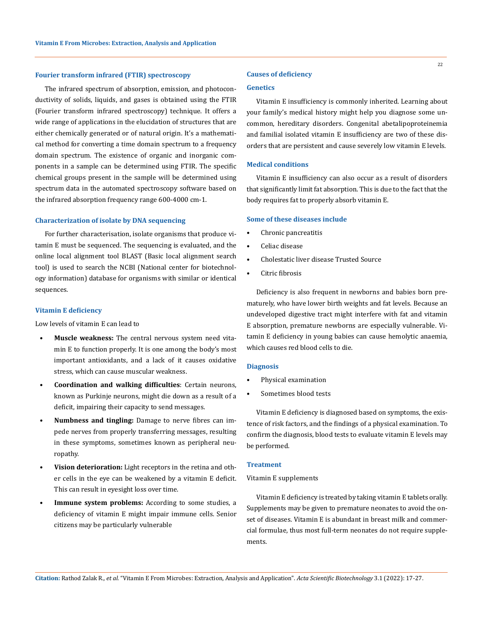# **Fourier transform infrared (FTIR) spectroscopy**

The infrared spectrum of absorption, emission, and photoconductivity of solids, liquids, and gases is obtained using the FTIR (Fourier transform infrared spectroscopy) technique. It offers a wide range of applications in the elucidation of structures that are either chemically generated or of natural origin. It's a mathematical method for converting a time domain spectrum to a frequency domain spectrum. The existence of organic and inorganic components in a sample can be determined using FTIR. The specific chemical groups present in the sample will be determined using spectrum data in the automated spectroscopy software based on the infrared absorption frequency range 600-4000 cm-1.

# **Characterization of isolate by DNA sequencing**

For further characterisation, isolate organisms that produce vitamin E must be sequenced. The sequencing is evaluated, and the online local alignment tool BLAST (Basic local alignment search tool) is used to search the NCBI (National center for biotechnology information) database for organisms with similar or identical sequences.

# **Vitamin E deficiency**

Low levels of vitamin E can lead to

- **Muscle weakness:** The central nervous system need vitamin E to function properly. It is one among the body's most important antioxidants, and a lack of it causes oxidative stress, which can cause muscular weakness.
- **Coordination and walking difficulties**: Certain neurons, known as Purkinje neurons, might die down as a result of a deficit, impairing their capacity to send messages.
- **Numbness and tingling:** Damage to nerve fibres can impede nerves from properly transferring messages, resulting in these symptoms, sometimes known as peripheral neuropathy.
- **Vision deterioration:** Light receptors in the retina and other cells in the eye can be weakened by a vitamin E deficit. This can result in eyesight loss over time.
- **Immune system problems:** According to some studies, a deficiency of vitamin E might impair immune cells. Senior citizens may be particularly vulnerable

# **Causes of deficiency**

# **Genetics**

Vitamin E insufficiency is commonly inherited. Learning about your family's medical history might help you diagnose some uncommon, hereditary disorders. Congenital abetalipoproteinemia and familial isolated vitamin E insufficiency are two of these disorders that are persistent and cause severely low vitamin E levels.

## **Medical conditions**

Vitamin E insufficiency can also occur as a result of disorders that significantly limit fat absorption. This is due to the fact that the body requires fat to properly absorb vitamin E.

#### **Some of these diseases include**

- Chronic pancreatitis
- Celiac disease
- Cholestatic liver disease Trusted Source
- Citric fibrosis

Deficiency is also frequent in newborns and babies born prematurely, who have lower birth weights and fat levels. Because an undeveloped digestive tract might interfere with fat and vitamin E absorption, premature newborns are especially vulnerable. Vitamin E deficiency in young babies can cause hemolytic anaemia, which causes red blood cells to die.

#### **Diagnosis**

- Physical examination
- Sometimes blood tests

Vitamin E deficiency is diagnosed based on symptoms, the existence of risk factors, and the findings of a physical examination. To confirm the diagnosis, blood tests to evaluate vitamin E levels may be performed.

# **Treatment**

# Vitamin E supplements

Vitamin E deficiency is treated by taking vitamin E tablets orally. Supplements may be given to premature neonates to avoid the onset of diseases. Vitamin E is abundant in breast milk and commercial formulae, thus most full-term neonates do not require supplements.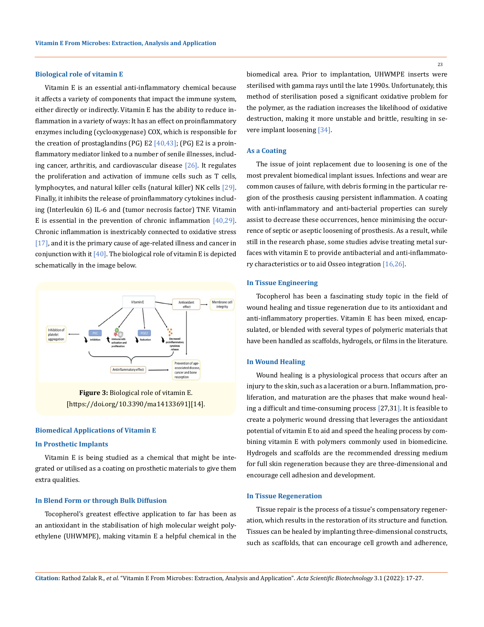#### **Biological role of vitamin E**

Vitamin E is an essential anti-inflammatory chemical because it affects a variety of components that impact the immune system, either directly or indirectly. Vitamin E has the ability to reduce inflammation in a variety of ways: It has an effect on proinflammatory enzymes including (cyclooxygenase) COX, which is responsible for the creation of prostaglandins (PG) E2  $[40,43]$ ; (PG) E2 is a proinflammatory mediator linked to a number of senile illnesses, including cancer, arthritis, and cardiovascular disease  $[26]$ . It regulates the proliferation and activation of immune cells such as T cells, lymphocytes, and natural killer cells (natural killer) NK cells [29]. Finally, it inhibits the release of proinflammatory cytokines including (Interleukin 6) IL-6 and (tumor necrosis factor) TNF. Vitamin E is essential in the prevention of chronic inflammation [40,29]. Chronic inflammation is inextricably connected to oxidative stress [17], and it is the primary cause of age-related illness and cancer in conjunction with it  $[40]$ . The biological role of vitamin E is depicted schematically in the image below.



**Figure 3:** Biological role of vitamin E. [https://doi.org/10.3390/ma14133691][14].

### **Biomedical Applications of Vitamin E**

## **In Prosthetic Implants**

Vitamin E is being studied as a chemical that might be integrated or utilised as a coating on prosthetic materials to give them extra qualities.

# **In Blend Form or through Bulk Diffusion**

Tocopherol's greatest effective application to far has been as an antioxidant in the stabilisation of high molecular weight polyethylene (UHWMPE), making vitamin E a helpful chemical in the 23

biomedical area. Prior to implantation, UHWMPE inserts were sterilised with gamma rays until the late 1990s. Unfortunately, this method of sterilisation posed a significant oxidative problem for the polymer, as the radiation increases the likelihood of oxidative destruction, making it more unstable and brittle, resulting in severe implant loosening [34].

#### **As a Coating**

The issue of joint replacement due to loosening is one of the most prevalent biomedical implant issues. Infections and wear are common causes of failure, with debris forming in the particular region of the prosthesis causing persistent inflammation. A coating with anti-inflammatory and anti-bacterial properties can surely assist to decrease these occurrences, hence minimising the occurrence of septic or aseptic loosening of prosthesis. As a result, while still in the research phase, some studies advise treating metal surfaces with vitamin E to provide antibacterial and anti-inflammatory characteristics or to aid Osseo integration [16,26].

#### **In Tissue Engineering**

Tocopherol has been a fascinating study topic in the field of wound healing and tissue regeneration due to its antioxidant and anti-inflammatory properties. Vitamin E has been mixed, encapsulated, or blended with several types of polymeric materials that have been handled as scaffolds, hydrogels, or films in the literature.

# **In Wound Healing**

Wound healing is a physiological process that occurs after an injury to the skin, such as a laceration or a burn. Inflammation, proliferation, and maturation are the phases that make wound healing a difficult and time-consuming process [27,31]. It is feasible to create a polymeric wound dressing that leverages the antioxidant potential of vitamin E to aid and speed the healing process by combining vitamin E with polymers commonly used in biomedicine. Hydrogels and scaffolds are the recommended dressing medium for full skin regeneration because they are three-dimensional and encourage cell adhesion and development.

# **In Tissue Regeneration**

Tissue repair is the process of a tissue's compensatory regeneration, which results in the restoration of its structure and function. Tissues can be healed by implanting three-dimensional constructs, such as scaffolds, that can encourage cell growth and adherence,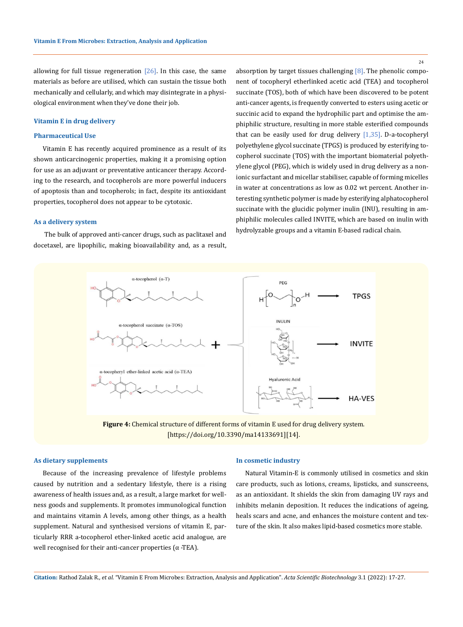allowing for full tissue regeneration  $[26]$ . In this case, the same materials as before are utilised, which can sustain the tissue both mechanically and cellularly, and which may disintegrate in a physiological environment when they've done their job.

### **Vitamin E in drug delivery**

# **Pharmaceutical Use**

Vitamin E has recently acquired prominence as a result of its shown anticarcinogenic properties, making it a promising option for use as an adjuvant or preventative anticancer therapy. According to the research, and tocopherols are more powerful inducers of apoptosis than and tocopherols; in fact, despite its antioxidant properties, tocopherol does not appear to be cytotoxic.

# **As a delivery system**

 The bulk of approved anti-cancer drugs, such as paclitaxel and docetaxel, are lipophilic, making bioavailability and, as a result, absorption by target tissues challenging  $[8]$ . The phenolic component of tocopheryl etherlinked acetic acid (TEA) and tocopherol succinate (TOS), both of which have been discovered to be potent anti-cancer agents, is frequently converted to esters using acetic or succinic acid to expand the hydrophilic part and optimise the amphiphilic structure, resulting in more stable esterified compounds that can be easily used for drug delivery [1,35]. D-a-tocopheryl polyethylene glycol succinate (TPGS) is produced by esterifying tocopherol succinate (TOS) with the important biomaterial polyethylene glycol (PEG), which is widely used in drug delivery as a nonionic surfactant and micellar stabiliser, capable of forming micelles in water at concentrations as low as 0.02 wt percent. Another interesting synthetic polymer is made by esterifying alphatocopherol succinate with the glucidic polymer inulin (INU), resulting in amphiphilic molecules called INVITE, which are based on inulin with hydrolyzable groups and a vitamin E-based radical chain.



**Figure 4:** Chemical structure of different forms of vitamin E used for drug delivery system. [https://doi.org/10.3390/ma14133691][14].

### **As dietary supplements**

Because of the increasing prevalence of lifestyle problems caused by nutrition and a sedentary lifestyle, there is a rising awareness of health issues and, as a result, a large market for wellness goods and supplements. It promotes immunological function and maintains vitamin A levels, among other things, as a health supplement. Natural and synthesised versions of vitamin E, particularly RRR a-tocopherol ether-linked acetic acid analogue, are well recognised for their anti-cancer properties  $(\alpha$ -TEA).

#### **In cosmetic industry**

Natural Vitamin-E is commonly utilised in cosmetics and skin care products, such as lotions, creams, lipsticks, and sunscreens, as an antioxidant. It shields the skin from damaging UV rays and inhibits melanin deposition. It reduces the indications of ageing, heals scars and acne, and enhances the moisture content and texture of the skin. It also makes lipid-based cosmetics more stable.

24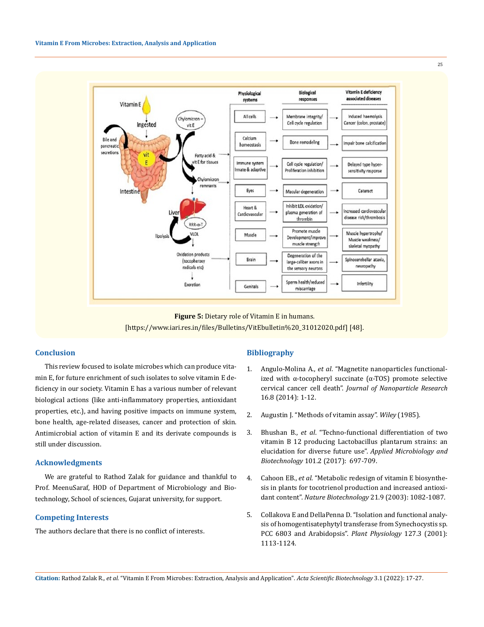

**Figure 5:** Dietary role of Vitamin E in humans. [https://www.iari.res.in/files/Bulletins/VitEbulletin%20\_31012020.pdf] [48].

# **Conclusion**

This review focused to isolate microbes which can produce vitamin E, for future enrichment of such isolates to solve vitamin E deficiency in our society. Vitamin E has a various number of relevant biological actions (like anti-inflammatory properties, antioxidant properties, etc.), and having positive impacts on immune system, bone health, age-related diseases, cancer and protection of skin. Antimicrobial action of vitamin E and its derivate compounds is still under discussion.

# **Acknowledgments**

We are grateful to Rathod Zalak for guidance and thankful to Prof. MeenuSaraf, HOD of Department of Microbiology and Biotechnology, School of sciences, Gujarat university, for support.

# **Competing Interests**

The authors declare that there is no conflict of interests.

### **Bibliography**

- 1. Angulo-Molina A., *et al*[. "Magnetite nanoparticles functional](https://www.researchgate.net/publication/264197247_Magnetite_nanoparticles_functionalized_with_a-tocopheryl_succinate_a-TOS_promote_selective_cervical_cancer_cell_death)ized with  $α$ -tocopheryl succinate ( $α$ -TOS) promote selective cervical cancer cell death". *[Journal of Nanoparticle Research](https://www.researchgate.net/publication/264197247_Magnetite_nanoparticles_functionalized_with_a-tocopheryl_succinate_a-TOS_promote_selective_cervical_cancer_cell_death)* [16.8 \(2014\): 1-12.](https://www.researchgate.net/publication/264197247_Magnetite_nanoparticles_functionalized_with_a-tocopheryl_succinate_a-TOS_promote_selective_cervical_cancer_cell_death)
- 2. Augustin J. "Methods of vitamin assay". *Wiley* (1985).
- 3. Bhushan B., *et al*[. "Techno-functional differentiation of two](https://pubmed.ncbi.nlm.nih.gov/27752783/)  [vitamin B 12 producing Lactobacillus plantarum strains: an](https://pubmed.ncbi.nlm.nih.gov/27752783/)  [elucidation for diverse future use".](https://pubmed.ncbi.nlm.nih.gov/27752783/) *Applied Microbiology and Biotechnology* [101.2 \(2017\): 697-709.](https://pubmed.ncbi.nlm.nih.gov/27752783/)
- 4. Cahoon EB., *et al*[. "Metabolic redesign of vitamin E biosynthe](https://pubmed.ncbi.nlm.nih.gov/12897790/)[sis in plants for tocotrienol production and increased antioxi](https://pubmed.ncbi.nlm.nih.gov/12897790/)dant content". *Nature Biotechnology* [21.9 \(2003\): 1082-1087.](https://pubmed.ncbi.nlm.nih.gov/12897790/)
- 5. [Collakova E and DellaPenna D. "Isolation and functional analy](https://pubmed.ncbi.nlm.nih.gov/11706191/)[sis of homogentisatephytyl transferase from Synechocystis sp.](https://pubmed.ncbi.nlm.nih.gov/11706191/)  [PCC 6803 and Arabidopsis".](https://pubmed.ncbi.nlm.nih.gov/11706191/) *Plant Physiology* 127.3 (2001): [1113-1124.](https://pubmed.ncbi.nlm.nih.gov/11706191/)

**Citation:** Rathod Zalak R*., et al.* "Vitamin E From Microbes: Extraction, Analysis and Application". *Acta Scientific Biotechnology* 3.1 (2022): 17-27.

25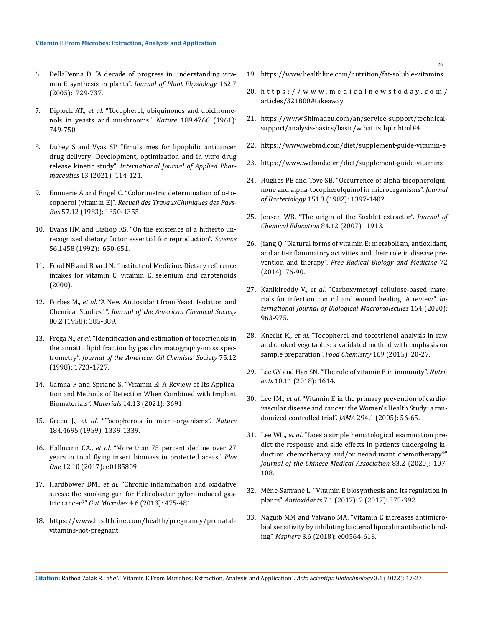- 6. [DellaPenna D. "A decade of progress in understanding vita](https://pubmed.ncbi.nlm.nih.gov/16008096/)[min E synthesis in plants".](https://pubmed.ncbi.nlm.nih.gov/16008096/) *Journal of Plant Physiology* 162.7 [\(2005\): 729-737.](https://pubmed.ncbi.nlm.nih.gov/16008096/)
- 7. Diplock AT., *et al*[. "Tocopherol, ubiquinones and ubichrome](https://pubmed.ncbi.nlm.nih.gov/13723050/)[nols in yeasts and mushrooms".](https://pubmed.ncbi.nlm.nih.gov/13723050/) *Nature* 189.4766 (1961): [749-750.](https://pubmed.ncbi.nlm.nih.gov/13723050/)
- 8. [Dubey S and Vyas SP. "Emulsomes for lipophilic anticancer](https://www.sciencegate.app/document/10.22159/ijap.2021v13i2.40339)  [drug delivery: Development, optimization and in vitro drug](https://www.sciencegate.app/document/10.22159/ijap.2021v13i2.40339)  release kinetic study". *[International Journal of Applied Phar‐](https://www.sciencegate.app/document/10.22159/ijap.2021v13i2.40339) maceutics* [13 \(2021\): 114-121.](https://www.sciencegate.app/document/10.22159/ijap.2021v13i2.40339)
- 9. [Emmerie A and Engel C. "Colorimetric determination of α‐to](https://www.nature.com/articles/142873a0)copherol (vitamin E)". *[Recueil des TravauxChimiques des Pays‐](https://www.nature.com/articles/142873a0) Bas* [57.12 \(1983\): 1350-1355.](https://www.nature.com/articles/142873a0)
- 10. [Evans HM and Bishop KS. "On the existence of a hitherto un](https://pubmed.ncbi.nlm.nih.gov/17838496/)[recognized dietary factor essential for reproduction".](https://pubmed.ncbi.nlm.nih.gov/17838496/) *Science* [56.1458 \(1992\): 650-651.](https://pubmed.ncbi.nlm.nih.gov/17838496/)
- 11. [Food NB and Board N. "Institute of Medicine. Dietary reference](https://www.ncbi.nlm.nih.gov/books/NBK225483/)  [intakes for vitamin C, vitamin E, selenium and carotenoids](https://www.ncbi.nlm.nih.gov/books/NBK225483/)  [\(2000\).](https://www.ncbi.nlm.nih.gov/books/NBK225483/)
- 12. Forbes M., *et al*[. "A New Antioxidant from Yeast. Isolation and](https://af.booksc.eu/book/30265651/deddd0)  Chemical Studies1". *Journal of the [American Chemical Society](https://af.booksc.eu/book/30265651/deddd0)* [80.2 \(1958\): 385-389.](https://af.booksc.eu/book/30265651/deddd0)
- 13. Frega N., *et al*[. "Identification and estimation of tocotrienols in](https://www.researchgate.net/publication/226536130_Identification_and_estimation_of_tocotrienols_in_the_annatto_lipid_fraction_by_gas_chromatography-mass_spectrometry)  [the annatto lipid fraction by gas chromatography-mass spec](https://www.researchgate.net/publication/226536130_Identification_and_estimation_of_tocotrienols_in_the_annatto_lipid_fraction_by_gas_chromatography-mass_spectrometry)trometry". *[Journal of the American Oil Chemists' Society](https://www.researchgate.net/publication/226536130_Identification_and_estimation_of_tocotrienols_in_the_annatto_lipid_fraction_by_gas_chromatography-mass_spectrometry)* 75.12 [\(1998\): 1723-1727.](https://www.researchgate.net/publication/226536130_Identification_and_estimation_of_tocotrienols_in_the_annatto_lipid_fraction_by_gas_chromatography-mass_spectrometry)
- 14. [Gamna F and Spriano S. "Vitamin E: A Review of Its Applica](https://www.ncbi.nlm.nih.gov/pmc/articles/PMC8269872/)[tion and Methods of Detection When Combined with Implant](https://www.ncbi.nlm.nih.gov/pmc/articles/PMC8269872/)  Biomaterials". *Materials* [14.13 \(2021\): 3691.](https://www.ncbi.nlm.nih.gov/pmc/articles/PMC8269872/)
- 15. Green J., *et al*[. "Tocopherols in micro-organisms".](https://pubmed.ncbi.nlm.nih.gov/13851496/) *Nature* [184.4695 \(1959\): 1339-1339.](https://pubmed.ncbi.nlm.nih.gov/13851496/)
- 16. Hallmann CA., *et al*[. "More than 75 percent decline over 27](https://journals.plos.org/plosone/article?id=10.1371/journal.pone.0185809)  [years in total flying insect biomass in protected areas".](https://journals.plos.org/plosone/article?id=10.1371/journal.pone.0185809) *Plos One* [12.10 \(2017\): e0185809.](https://journals.plos.org/plosone/article?id=10.1371/journal.pone.0185809)
- 17. Hardbower DM., *et al*[. "Chronic inflammation and oxidative](https://www.ncbi.nlm.nih.gov/pmc/articles/PMC3928159/)  [stress: the smoking gun for Helicobacter pylori-induced gas](https://www.ncbi.nlm.nih.gov/pmc/articles/PMC3928159/)tric cancer?" *Gut Microbes* [4.6 \(2013\): 475-481.](https://www.ncbi.nlm.nih.gov/pmc/articles/PMC3928159/)
- 18. [https://www.healthline.com/health/pregnancy/prenatal](https://www.healthline.com/health/pregnancy/prenatal-vitamins-not-pregnant)[vitamins-not-pregnant](https://www.healthline.com/health/pregnancy/prenatal-vitamins-not-pregnant)
- 19. <https://www.healthline.com/nutrition/fat-soluble-vitamins>
- 20. [https://www.medicalnewstoday.com/](https://www.medicalnewstoday.com/articles/321800#takeaway) [articles/321800#takeaway](https://www.medicalnewstoday.com/articles/321800#takeaway)
- 21. [https://www.Shimadzu.com/an/service-support/technical](https://www.Shimadzu.com/an/service-support/technical-support/analysis-basics/basic/w%20hat_is_hplc.html#4)[support/analysis-basics/basic/w hat\\_is\\_hplc.html#4](https://www.Shimadzu.com/an/service-support/technical-support/analysis-basics/basic/w%20hat_is_hplc.html#4)
- 22. <https://www.webmd.com/diet/supplement-guide-vitamin-e>
- 23. <https://www.webmd.com/diet/supplement-guide-vitamins>
- 24. [Hughes PE and Tove SB. "Occurrence of alpha-tocopherolqui](https://pubmed.ncbi.nlm.nih.gov/6809730/)[none and alpha-tocopherolquinol in microorganisms".](https://pubmed.ncbi.nlm.nih.gov/6809730/) *Journal of Bacteriology* [151.3 \(1982\): 1397-1402.](https://pubmed.ncbi.nlm.nih.gov/6809730/)
- 25. [Jensen WB. "The origin of the Soxhlet extractor".](https://pubs.acs.org/doi/10.1021/ed084p1913) *Journal of [Chemical Education](https://pubs.acs.org/doi/10.1021/ed084p1913)* 84.12 (2007): 1913.
- 26. [Jiang Q. "Natural forms of vitamin E: metabolism, antioxidant,](https://pubmed.ncbi.nlm.nih.gov/24704972/)  [and anti-inflammatory activities and their role in disease pre](https://pubmed.ncbi.nlm.nih.gov/24704972/)vention and therapy". *[Free Radical Biology and Medicine](https://pubmed.ncbi.nlm.nih.gov/24704972/)* 72 [\(2014\): 76-90.](https://pubmed.ncbi.nlm.nih.gov/24704972/)
- 27. Kanikireddy V., *et al*[. "Carboxymethyl cellulose-based mate](https://pubmed.ncbi.nlm.nih.gov/32707282/)[rials for infection control and wound healing: A review".](https://pubmed.ncbi.nlm.nih.gov/32707282/) *In‐ [ternational Journal of Biological Macromolecules](https://pubmed.ncbi.nlm.nih.gov/32707282/)* 164 (2020): [963-975.](https://pubmed.ncbi.nlm.nih.gov/32707282/)
- 28. Knecht K., *et al*[. "Tocopherol and tocotrienol analysis in raw](https://pubmed.ncbi.nlm.nih.gov/25236193/)  [and cooked vegetables: a validated method with emphasis on](https://pubmed.ncbi.nlm.nih.gov/25236193/)  [sample preparation".](https://pubmed.ncbi.nlm.nih.gov/25236193/) *Food Chemistry* 169 (2015): 20-27.
- 29. [Lee GY and Han SN. "The role of vitamin E in immunity".](https://pubmed.ncbi.nlm.nih.gov/30388871/) *Nutri‐ ents* [10.11 \(2018\): 1614.](https://pubmed.ncbi.nlm.nih.gov/30388871/)
- 30. Lee IM., *et al*[. "Vitamin E in the primary prevention of cardio](https://pubmed.ncbi.nlm.nih.gov/15998891/)[vascular disease and cancer: the Women's Health Study: a ran](https://pubmed.ncbi.nlm.nih.gov/15998891/)[domized controlled trial".](https://pubmed.ncbi.nlm.nih.gov/15998891/) *JAMA* 294.1 (2005): 56-65.
- 31. Lee WL., *et al*[. "Does a simple hematological examination pre](https://pubmed.ncbi.nlm.nih.gov/31868856/)[dict the response and side effects in patients undergoing in](https://pubmed.ncbi.nlm.nih.gov/31868856/)[duction chemotherapy and/or neoadjuvant chemotherapy?"](https://pubmed.ncbi.nlm.nih.gov/31868856/)  *Journal of the [Chinese Medical Association](https://pubmed.ncbi.nlm.nih.gov/31868856/)* 83.2 (2020): 107- [108.](https://pubmed.ncbi.nlm.nih.gov/31868856/)
- 32. [Mène-Saffrané L. "Vitamin E biosynthesis and its regulation in](https://pubmed.ncbi.nlm.nih.gov/29295607/)  plants". *Antioxidants* [7.1 \(2017\): 2 \(2017\): 375-392.](https://pubmed.ncbi.nlm.nih.gov/29295607/)
- 33. [Naguib MM and Valvano MA. "Vitamin E increases antimicro](https://www.ncbi.nlm.nih.gov/pmc/articles/PMC6291622/)[bial sensitivity by inhibiting bacterial lipocalin antibiotic bind](https://www.ncbi.nlm.nih.gov/pmc/articles/PMC6291622/)ing". *Msphere* [3.6 \(2018\): e00564-618.](https://www.ncbi.nlm.nih.gov/pmc/articles/PMC6291622/)

26